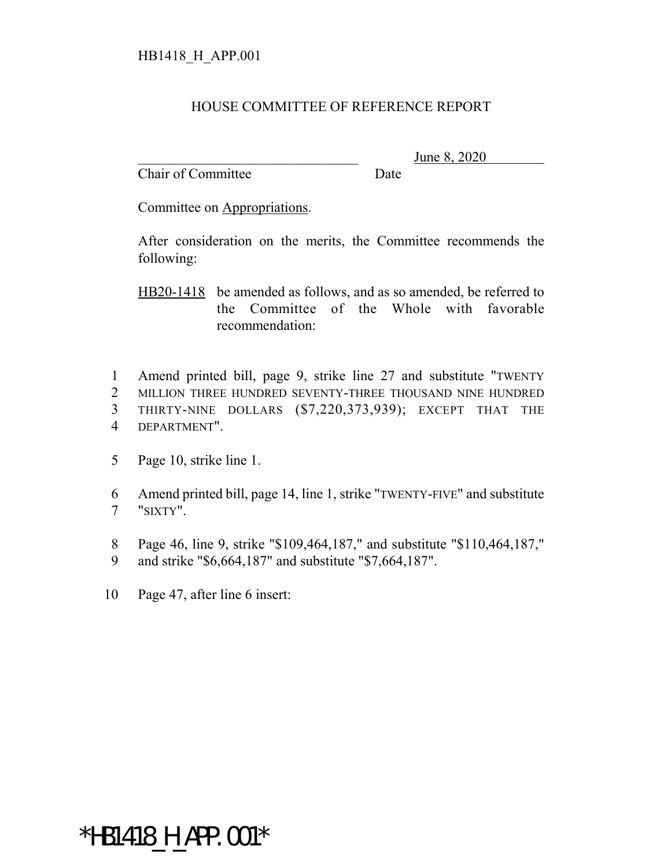#### HOUSE COMMITTEE OF REFERENCE REPORT

Chair of Committee Date

June 8, 2020

Committee on Appropriations.

After consideration on the merits, the Committee recommends the following:

HB20-1418 be amended as follows, and as so amended, be referred to the Committee of the Whole with favorable recommendation:

 Amend printed bill, page 9, strike line 27 and substitute "TWENTY MILLION THREE HUNDRED SEVENTY-THREE THOUSAND NINE HUNDRED THIRTY-NINE DOLLARS (\$7,220,373,939); EXCEPT THAT THE DEPARTMENT".

5 Page 10, strike line 1.

6 Amend printed bill, page 14, line 1, strike "TWENTY-FIVE" and substitute 7 "SIXTY".

8 Page 46, line 9, strike "\$109,464,187," and substitute "\$110,464,187,"

9 and strike "\$6,664,187" and substitute "\$7,664,187".

10 Page 47, after line 6 insert:

\*HB1418 H APP.001\*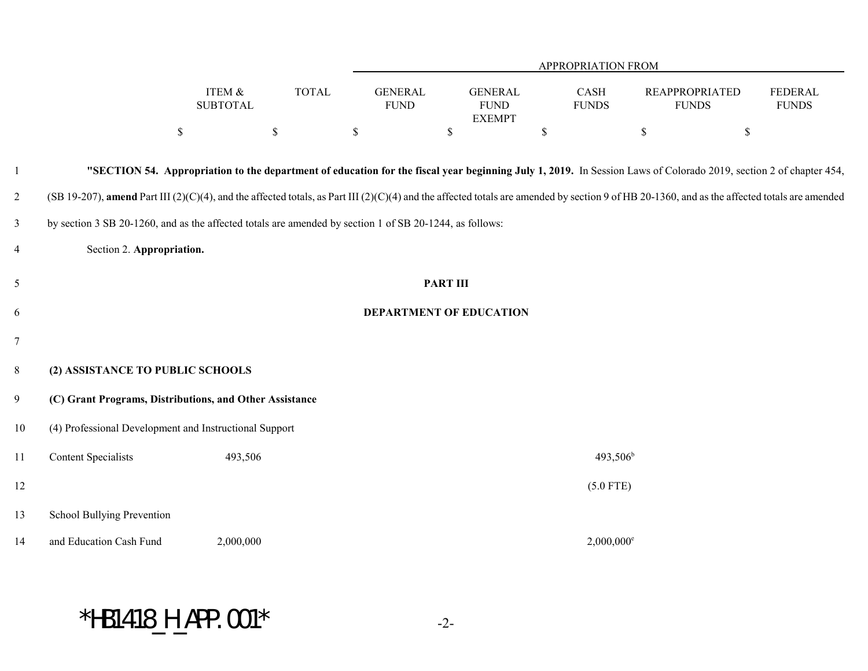|                |                                                                                                                                                                                              |                                      |              | APPROPRIATION FROM                                                                                                                                                |                 |                                                |    |                          |             |                                       |                                |  |
|----------------|----------------------------------------------------------------------------------------------------------------------------------------------------------------------------------------------|--------------------------------------|--------------|-------------------------------------------------------------------------------------------------------------------------------------------------------------------|-----------------|------------------------------------------------|----|--------------------------|-------------|---------------------------------------|--------------------------------|--|
|                |                                                                                                                                                                                              | <b>ITEM &amp;</b><br><b>SUBTOTAL</b> | <b>TOTAL</b> | <b>GENERAL</b><br><b>FUND</b>                                                                                                                                     |                 | <b>GENERAL</b><br><b>FUND</b><br><b>EXEMPT</b> |    | CASH<br><b>FUNDS</b>     |             | <b>REAPPROPRIATED</b><br><b>FUNDS</b> | <b>FEDERAL</b><br><b>FUNDS</b> |  |
|                |                                                                                                                                                                                              | $\mathbb{S}$                         | \$           | $\mathbb S$                                                                                                                                                       | $\mathbb S$     |                                                | \$ |                          | $\mathbb S$ | $\mathbb S$                           |                                |  |
| 1              |                                                                                                                                                                                              |                                      |              | "SECTION 54. Appropriation to the department of education for the fiscal year beginning July 1, 2019. In Session Laws of Colorado 2019, section 2 of chapter 454, |                 |                                                |    |                          |             |                                       |                                |  |
| $\overline{c}$ | (SB 19-207), amend Part III (2)(C)(4), and the affected totals, as Part III (2)(C)(4) and the affected totals are amended by section 9 of HB 20-1360, and as the affected totals are amended |                                      |              |                                                                                                                                                                   |                 |                                                |    |                          |             |                                       |                                |  |
| $\mathfrak{Z}$ | by section 3 SB 20-1260, and as the affected totals are amended by section 1 of SB 20-1244, as follows:                                                                                      |                                      |              |                                                                                                                                                                   |                 |                                                |    |                          |             |                                       |                                |  |
| $\overline{4}$ |                                                                                                                                                                                              | Section 2. Appropriation.            |              |                                                                                                                                                                   |                 |                                                |    |                          |             |                                       |                                |  |
| $\sqrt{5}$     |                                                                                                                                                                                              |                                      |              |                                                                                                                                                                   | <b>PART III</b> |                                                |    |                          |             |                                       |                                |  |
| 6              |                                                                                                                                                                                              |                                      |              | DEPARTMENT OF EDUCATION                                                                                                                                           |                 |                                                |    |                          |             |                                       |                                |  |
| $\tau$         |                                                                                                                                                                                              |                                      |              |                                                                                                                                                                   |                 |                                                |    |                          |             |                                       |                                |  |
| $8\,$          | (2) ASSISTANCE TO PUBLIC SCHOOLS                                                                                                                                                             |                                      |              |                                                                                                                                                                   |                 |                                                |    |                          |             |                                       |                                |  |
| 9              | (C) Grant Programs, Distributions, and Other Assistance                                                                                                                                      |                                      |              |                                                                                                                                                                   |                 |                                                |    |                          |             |                                       |                                |  |
| $10\,$         | (4) Professional Development and Instructional Support                                                                                                                                       |                                      |              |                                                                                                                                                                   |                 |                                                |    |                          |             |                                       |                                |  |
| 11             | <b>Content Specialists</b>                                                                                                                                                                   | 493,506                              |              |                                                                                                                                                                   |                 |                                                |    | $493,506^{\rm b}$        |             |                                       |                                |  |
| 12             |                                                                                                                                                                                              |                                      |              |                                                                                                                                                                   |                 |                                                |    | $(5.0$ FTE)              |             |                                       |                                |  |
| 13             | School Bullying Prevention                                                                                                                                                                   |                                      |              |                                                                                                                                                                   |                 |                                                |    |                          |             |                                       |                                |  |
| 14             | and Education Cash Fund                                                                                                                                                                      | 2,000,000                            |              |                                                                                                                                                                   |                 |                                                |    | $2,000,000$ <sup>e</sup> |             |                                       |                                |  |

# $*$ HB1418\_H\_APP.001 $*$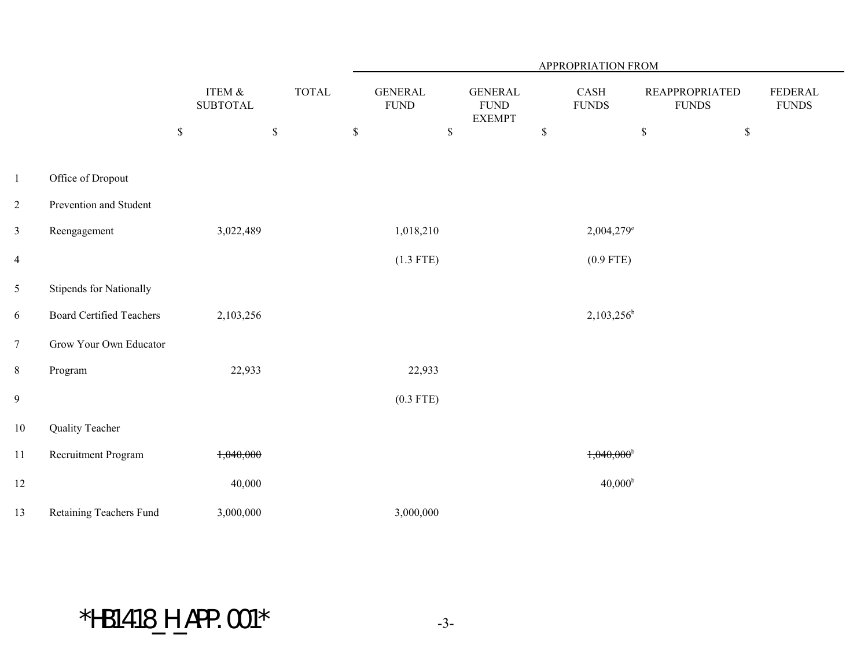|                          |                                 |                            |       |                                |                                                 | APPROPRIATION FROM       |                                       |                                 |
|--------------------------|---------------------------------|----------------------------|-------|--------------------------------|-------------------------------------------------|--------------------------|---------------------------------------|---------------------------------|
|                          |                                 | ITEM &<br><b>SUBTOTAL</b>  | TOTAL | <b>GENERAL</b><br>${\rm FUND}$ | <b>GENERAL</b><br>${\rm FUND}$<br><b>EXEMPT</b> | CASH<br><b>FUNDS</b>     | <b>REAPPROPRIATED</b><br><b>FUNDS</b> | <b>FEDERAL</b><br>${\rm FUNDS}$ |
|                          |                                 | $\mathbb S$<br>$\mathbb S$ |       | $\mathbb S$<br>$\mathbb S$     |                                                 | $\mathbb S$              | $\mathbb S$<br>$\mathbb S$            |                                 |
| $\mathbf{1}$             | Office of Dropout               |                            |       |                                |                                                 |                          |                                       |                                 |
| $\overline{c}$           | Prevention and Student          |                            |       |                                |                                                 |                          |                                       |                                 |
| $\overline{\mathbf{3}}$  | Reengagement                    | 3,022,489                  |       | 1,018,210                      |                                                 | $2,004,279$ <sup>e</sup> |                                       |                                 |
| $\overline{\mathcal{A}}$ |                                 |                            |       | $(1.3$ FTE)                    |                                                 | $(0.9$ FTE)              |                                       |                                 |
| 5                        | Stipends for Nationally         |                            |       |                                |                                                 |                          |                                       |                                 |
| 6                        | <b>Board Certified Teachers</b> | 2,103,256                  |       |                                |                                                 | $2,103,256^b$            |                                       |                                 |
| $\tau$                   | Grow Your Own Educator          |                            |       |                                |                                                 |                          |                                       |                                 |
| 8                        | Program                         | 22,933                     |       | 22,933                         |                                                 |                          |                                       |                                 |
| 9                        |                                 |                            |       | $(0.3$ FTE)                    |                                                 |                          |                                       |                                 |
| $10\,$                   | Quality Teacher                 |                            |       |                                |                                                 |                          |                                       |                                 |
| $1\,1$                   | Recruitment Program             | 1,040,000                  |       |                                |                                                 | $1,040,000$ <sup>b</sup> |                                       |                                 |
| $12\,$                   |                                 | 40,000                     |       |                                |                                                 | $40,000^{\rm b}$         |                                       |                                 |
| 13                       | Retaining Teachers Fund         | 3,000,000                  |       | 3,000,000                      |                                                 |                          |                                       |                                 |

# $*H\text{B1418\_H}\text{_.APP}.001*$  -3-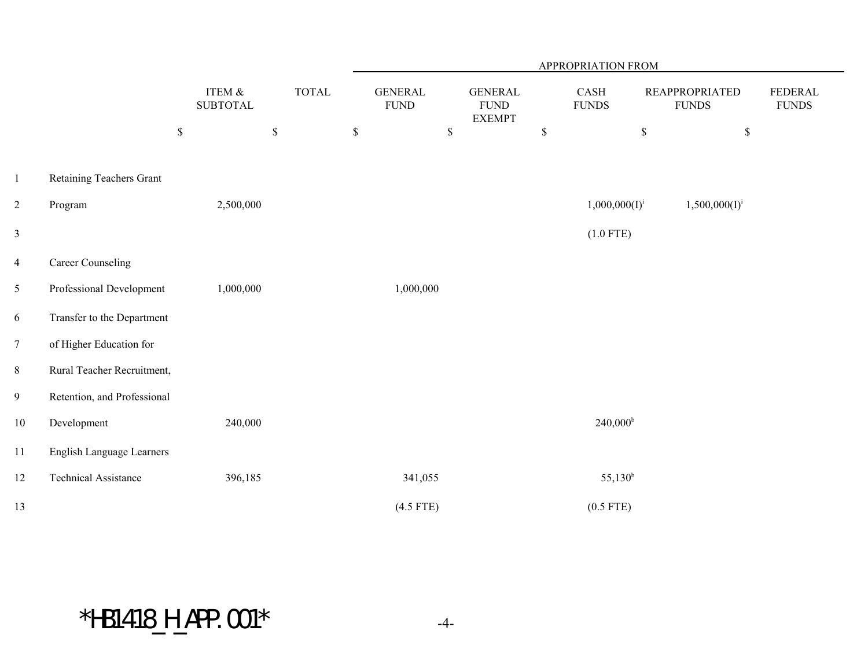|                |                             |             |                           |             |       |             |                                |             |                                                 |             | APPROPRIATION FROM   |             |                                       |                             |  |
|----------------|-----------------------------|-------------|---------------------------|-------------|-------|-------------|--------------------------------|-------------|-------------------------------------------------|-------------|----------------------|-------------|---------------------------------------|-----------------------------|--|
|                |                             |             | ITEM &<br><b>SUBTOTAL</b> |             | TOTAL |             | <b>GENERAL</b><br>${\rm FUND}$ |             | <b>GENERAL</b><br>${\rm FUND}$<br><b>EXEMPT</b> |             | CASH<br><b>FUNDS</b> |             | <b>REAPPROPRIATED</b><br><b>FUNDS</b> | FEDERAL<br>${\hbox{FUNDS}}$ |  |
|                |                             | $\mathbb S$ |                           | $\mathbb S$ |       | $\mathbb S$ |                                | $\mathbb S$ |                                                 | $\mathbb S$ |                      | $\mathbb S$ | $\$$                                  |                             |  |
| $\mathbf{1}$   | Retaining Teachers Grant    |             |                           |             |       |             |                                |             |                                                 |             |                      |             |                                       |                             |  |
| $\overline{c}$ | Program                     |             | 2,500,000                 |             |       |             |                                |             |                                                 |             | $1,000,000(I)^{i}$   |             | $1,500,000(I)^{i}$                    |                             |  |
| $\mathfrak{Z}$ |                             |             |                           |             |       |             |                                |             |                                                 |             | $(1.0$ FTE)          |             |                                       |                             |  |
| $\overline{4}$ | <b>Career Counseling</b>    |             |                           |             |       |             |                                |             |                                                 |             |                      |             |                                       |                             |  |
| 5              | Professional Development    |             | 1,000,000                 |             |       |             | 1,000,000                      |             |                                                 |             |                      |             |                                       |                             |  |
| 6              | Transfer to the Department  |             |                           |             |       |             |                                |             |                                                 |             |                      |             |                                       |                             |  |
| $\tau$         | of Higher Education for     |             |                           |             |       |             |                                |             |                                                 |             |                      |             |                                       |                             |  |
| $8\,$          | Rural Teacher Recruitment,  |             |                           |             |       |             |                                |             |                                                 |             |                      |             |                                       |                             |  |
| 9              | Retention, and Professional |             |                           |             |       |             |                                |             |                                                 |             |                      |             |                                       |                             |  |
| $10\,$         | Development                 |             | 240,000                   |             |       |             |                                |             |                                                 |             | $240,000^{\rm b}$    |             |                                       |                             |  |
| 11             | English Language Learners   |             |                           |             |       |             |                                |             |                                                 |             |                      |             |                                       |                             |  |
| 12             | <b>Technical Assistance</b> |             | 396,185                   |             |       |             | 341,055                        |             |                                                 |             | $55,130^b$           |             |                                       |                             |  |
| 13             |                             |             |                           |             |       |             | $(4.5$ FTE)                    |             |                                                 |             | $(0.5$ FTE)          |             |                                       |                             |  |

# $*$ HB1418\_H\_APP.001 $*$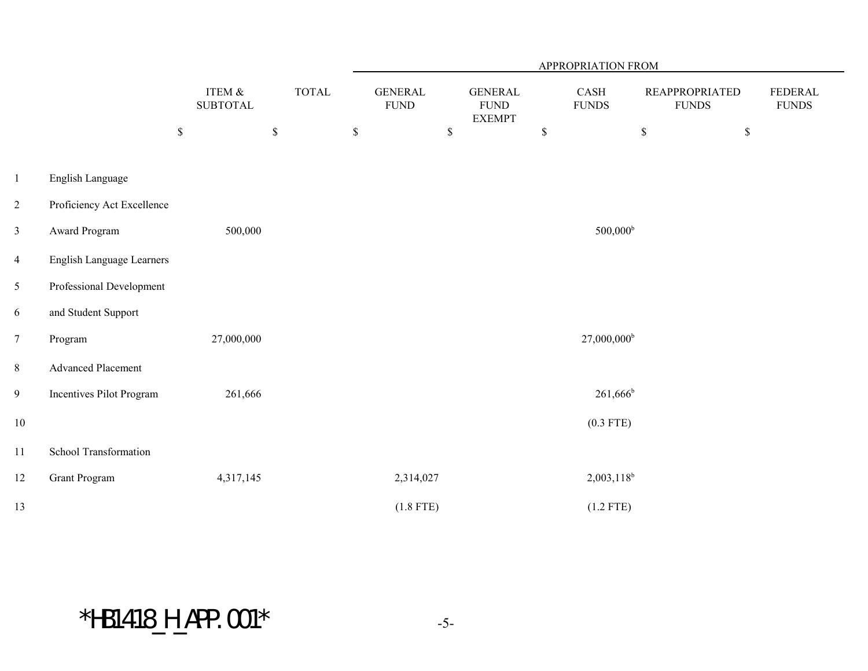|                |                            |                                      |       | APPROPRIATION FROM |                                |              |                                                 |             |                           |                                       |             |                                |  |
|----------------|----------------------------|--------------------------------------|-------|--------------------|--------------------------------|--------------|-------------------------------------------------|-------------|---------------------------|---------------------------------------|-------------|--------------------------------|--|
|                |                            | <b>ITEM &amp;</b><br><b>SUBTOTAL</b> | TOTAL |                    | <b>GENERAL</b><br>${\rm FUND}$ |              | <b>GENERAL</b><br>${\rm FUND}$<br><b>EXEMPT</b> |             | CASH<br><b>FUNDS</b>      | <b>REAPPROPRIATED</b><br><b>FUNDS</b> |             | <b>FEDERAL</b><br><b>FUNDS</b> |  |
|                |                            | $\mathbb S$<br>$\mathbb S$           |       | $\mathbb{S}$       |                                | $\mathbb{S}$ |                                                 | $\mathbb S$ |                           | $\mathbb S$                           | $\mathbb S$ |                                |  |
| $\mathbf{1}$   | English Language           |                                      |       |                    |                                |              |                                                 |             |                           |                                       |             |                                |  |
| $\overline{2}$ | Proficiency Act Excellence |                                      |       |                    |                                |              |                                                 |             |                           |                                       |             |                                |  |
| $\mathfrak{Z}$ | Award Program              | 500,000                              |       |                    |                                |              |                                                 |             | $500,000$ <sup>b</sup>    |                                       |             |                                |  |
| $\overline{4}$ | English Language Learners  |                                      |       |                    |                                |              |                                                 |             |                           |                                       |             |                                |  |
| 5              | Professional Development   |                                      |       |                    |                                |              |                                                 |             |                           |                                       |             |                                |  |
| 6              | and Student Support        |                                      |       |                    |                                |              |                                                 |             |                           |                                       |             |                                |  |
| $\tau$         | Program                    | 27,000,000                           |       |                    |                                |              |                                                 |             | $27,000,000$ <sup>b</sup> |                                       |             |                                |  |
| 8              | <b>Advanced Placement</b>  |                                      |       |                    |                                |              |                                                 |             |                           |                                       |             |                                |  |
| 9              | Incentives Pilot Program   | 261,666                              |       |                    |                                |              |                                                 |             | $261,666^b$               |                                       |             |                                |  |
| $10\,$         |                            |                                      |       |                    |                                |              |                                                 |             | $(0.3$ FTE)               |                                       |             |                                |  |
| 11             | School Transformation      |                                      |       |                    |                                |              |                                                 |             |                           |                                       |             |                                |  |
| 12             | <b>Grant Program</b>       | 4,317,145                            |       |                    | 2,314,027                      |              |                                                 |             | $2,003,118^b$             |                                       |             |                                |  |
| 13             |                            |                                      |       |                    | $(1.8$ FTE)                    |              |                                                 |             | $(1.2$ FTE)               |                                       |             |                                |  |

 $*$ HB1418\_H\_APP.001 $*$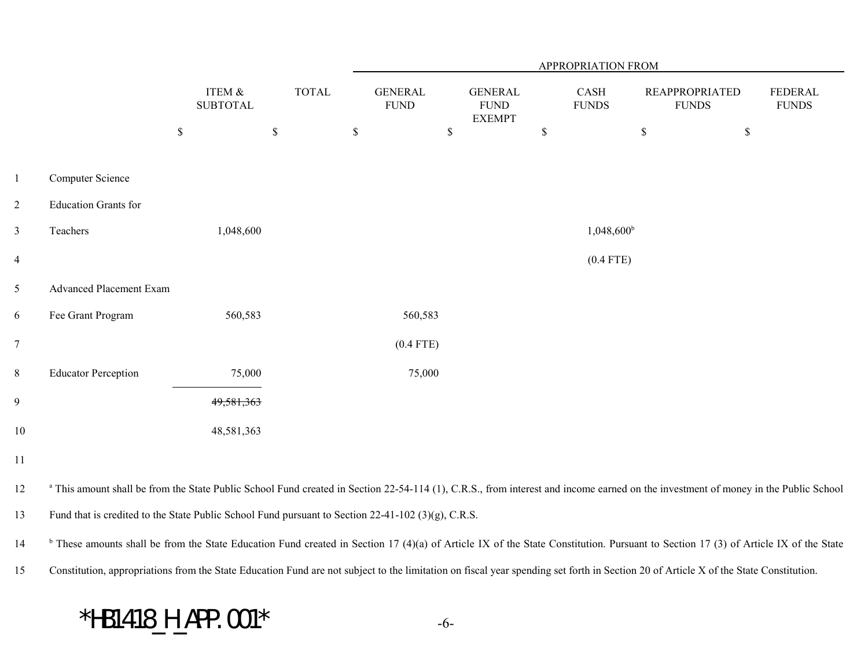|                |                                                                                                                                                                                               |                              |              |                               |      |                                                |             | APPROPRIATION FROM   |                                       |                                |
|----------------|-----------------------------------------------------------------------------------------------------------------------------------------------------------------------------------------------|------------------------------|--------------|-------------------------------|------|------------------------------------------------|-------------|----------------------|---------------------------------------|--------------------------------|
|                |                                                                                                                                                                                               | ITEM $\&$<br><b>SUBTOTAL</b> | <b>TOTAL</b> | <b>GENERAL</b><br><b>FUND</b> |      | <b>GENERAL</b><br><b>FUND</b><br><b>EXEMPT</b> |             | CASH<br><b>FUNDS</b> | <b>REAPPROPRIATED</b><br><b>FUNDS</b> | <b>FEDERAL</b><br><b>FUNDS</b> |
|                |                                                                                                                                                                                               | \$                           | $\mathbb S$  | $\mathbb S$                   | $\$$ |                                                | $\mathbb S$ |                      | $\mathbb S$                           | \$                             |
| $\mathbf{1}$   | Computer Science                                                                                                                                                                              |                              |              |                               |      |                                                |             |                      |                                       |                                |
| $\overline{2}$ | <b>Education Grants for</b>                                                                                                                                                                   |                              |              |                               |      |                                                |             |                      |                                       |                                |
| $\mathfrak{Z}$ | Teachers                                                                                                                                                                                      | 1,048,600                    |              |                               |      |                                                |             | $1,048,600^{\rm b}$  |                                       |                                |
| $\overline{4}$ |                                                                                                                                                                                               |                              |              |                               |      |                                                |             | $(0.4$ FTE)          |                                       |                                |
| 5              | <b>Advanced Placement Exam</b>                                                                                                                                                                |                              |              |                               |      |                                                |             |                      |                                       |                                |
| 6              | Fee Grant Program                                                                                                                                                                             | 560,583                      |              | 560,583                       |      |                                                |             |                      |                                       |                                |
| $\tau$         |                                                                                                                                                                                               |                              |              | $(0.4$ FTE)                   |      |                                                |             |                      |                                       |                                |
| 8              | <b>Educator Perception</b>                                                                                                                                                                    | 75,000                       |              | 75,000                        |      |                                                |             |                      |                                       |                                |
| 9              |                                                                                                                                                                                               | 49,581,363                   |              |                               |      |                                                |             |                      |                                       |                                |
| 10             |                                                                                                                                                                                               | 48,581,363                   |              |                               |      |                                                |             |                      |                                       |                                |
| 11             |                                                                                                                                                                                               |                              |              |                               |      |                                                |             |                      |                                       |                                |
| 12             | <sup>a</sup> This amount shall be from the State Public School Fund created in Section 22-54-114 (1), C.R.S., from interest and income earned on the investment of money in the Public School |                              |              |                               |      |                                                |             |                      |                                       |                                |
| 13             | Fund that is credited to the State Public School Fund pursuant to Section 22-41-102 (3)(g), C.R.S.                                                                                            |                              |              |                               |      |                                                |             |                      |                                       |                                |
| 14             | <sup>b</sup> These amounts shall be from the State Education Fund created in Section 17 (4)(a) of Article IX of the State Constitution. Pursuant to Section 17 (3) of Article IX of the State |                              |              |                               |      |                                                |             |                      |                                       |                                |

15Constitution, appropriations from the State Education Fund are not subject to the limitation on fiscal year spending set forth in Section 20 of Article X of the State Constitution.

#### \*HB1418\_H\_APP.001\* -6-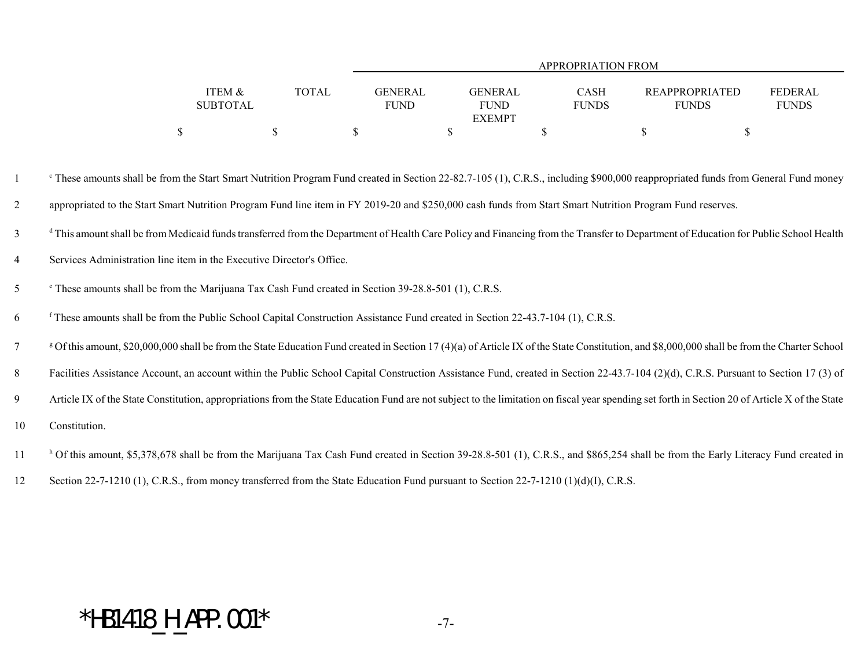|                 |              |             |                | APPROPRIATION FROM |                       |                |
|-----------------|--------------|-------------|----------------|--------------------|-----------------------|----------------|
|                 |              |             |                |                    |                       |                |
| ITEM &          | <b>TOTAL</b> | GENERAL     | <b>GENERAL</b> | CASH               | <b>REAPPROPRIATED</b> | <b>FEDERAL</b> |
| <b>SUBTOTAL</b> |              | <b>FUND</b> | <b>FUND</b>    | <b>FUNDS</b>       | <b>FUNDS</b>          | <b>FUNDS</b>   |
|                 |              |             | <b>EXEMPT</b>  |                    |                       |                |
|                 |              |             |                |                    |                       |                |

<sup>c</sup> These amounts shall be from the Start Smart Nutrition Program Fund created in Section 22-82.7-105 (1), C.R.S., including \$900,000 reappropriated funds from General Fund money 2appropriated to the Start Smart Nutrition Program Fund line item in FY 2019-20 and \$250,000 cash funds from Start Smart Nutrition Program Fund reserves.

<sup>d</sup> This amount shall be from Medicaid funds transferred from the Department of Health Care Policy and Financing from the Transfer to Department of Education for Public School Health

- 4Services Administration line item in the Executive Director's Office.
- e 5 These amounts shall be from the Marijuana Tax Cash Fund created in Section 39-28.8-501 (1), C.R.S.
- f 6 These amounts shall be from the Public School Capital Construction Assistance Fund created in Section 22-43.7-104 (1), C.R.S.
- <sup>g</sup> Of this amount, \$20,000,000 shall be from the State Education Fund created in Section 17 (4)(a) of Article IX of the State Constitution, and \$8,000,000 shall be from the Charter School
- 8Facilities Assistance Account, an account within the Public School Capital Construction Assistance Fund, created in Section 22-43.7-104 (2)(d), C.R.S. Pursuant to Section 17 (3) of
- 9Article IX of the State Constitution, appropriations from the State Education Fund are not subject to the limitation on fiscal year spending set forth in Section 20 of Article X of the State
- 10Constitution.
- <sup>h</sup> Of this amount, \$5,378,678 shall be from the Marijuana Tax Cash Fund created in Section 39-28.8-501 (1), C.R.S., and \$865,254 shall be from the Early Literacy Fund created in
- 12Section 22-7-1210 (1), C.R.S., from money transferred from the State Education Fund pursuant to Section 22-7-1210 (1)(d)(I), C.R.S.

#### $*$ HB1418\_H\_APP.001\*  $-7-$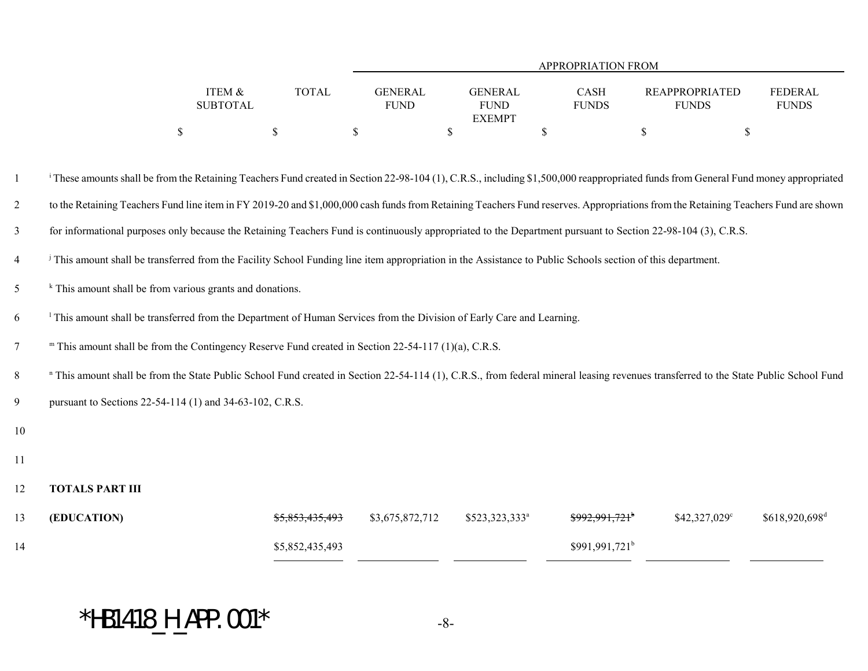|                 |              | APPROPRIATION FROM |  |               |  |              |                |  |              |  |  |  |
|-----------------|--------------|--------------------|--|---------------|--|--------------|----------------|--|--------------|--|--|--|
|                 |              |                    |  |               |  |              |                |  |              |  |  |  |
| ITEM &          | <b>TOTAL</b> | <b>GENERAL</b>     |  | GENERAL       |  | CASH         | REAPPROPRIATED |  | FEDERAL      |  |  |  |
| <b>SUBTOTAL</b> |              | <b>FUND</b>        |  | <b>FUND</b>   |  | <b>FUNDS</b> | <b>FUNDS</b>   |  | <b>FUNDS</b> |  |  |  |
|                 |              |                    |  | <b>EXEMPT</b> |  |              |                |  |              |  |  |  |
|                 |              |                    |  |               |  |              |                |  |              |  |  |  |

| 1              | <sup>i</sup> These amounts shall be from the Retaining Teachers Fund created in Section 22-98-104 (1), C.R.S., including \$1,500,000 reappropriated funds from General Fund money appropriated |                            |                 |                            |                            |               |                            |  |  |  |  |  |  |
|----------------|------------------------------------------------------------------------------------------------------------------------------------------------------------------------------------------------|----------------------------|-----------------|----------------------------|----------------------------|---------------|----------------------------|--|--|--|--|--|--|
| $\overline{2}$ | to the Retaining Teachers Fund line item in FY 2019-20 and \$1,000,000 cash funds from Retaining Teachers Fund reserves. Appropriations from the Retaining Teachers Fund are shown             |                            |                 |                            |                            |               |                            |  |  |  |  |  |  |
| $\mathfrak{Z}$ | for informational purposes only because the Retaining Teachers Fund is continuously appropriated to the Department pursuant to Section 22-98-104 (3), C.R.S.                                   |                            |                 |                            |                            |               |                            |  |  |  |  |  |  |
| $\overline{4}$ | <sup>j</sup> This amount shall be transferred from the Facility School Funding line item appropriation in the Assistance to Public Schools section of this department.                         |                            |                 |                            |                            |               |                            |  |  |  |  |  |  |
| 5              | $k$ This amount shall be from various grants and donations.                                                                                                                                    |                            |                 |                            |                            |               |                            |  |  |  |  |  |  |
| 6              | <sup>1</sup> This amount shall be transferred from the Department of Human Services from the Division of Early Care and Learning.                                                              |                            |                 |                            |                            |               |                            |  |  |  |  |  |  |
| 7              | " This amount shall be from the Contingency Reserve Fund created in Section 22-54-117 (1)(a), C.R.S.                                                                                           |                            |                 |                            |                            |               |                            |  |  |  |  |  |  |
| 8              | " This amount shall be from the State Public School Fund created in Section 22-54-114 (1), C.R.S., from federal mineral leasing revenues transferred to the State Public School Fund           |                            |                 |                            |                            |               |                            |  |  |  |  |  |  |
| 9              | pursuant to Sections 22-54-114 (1) and 34-63-102, C.R.S.                                                                                                                                       |                            |                 |                            |                            |               |                            |  |  |  |  |  |  |
| 10             |                                                                                                                                                                                                |                            |                 |                            |                            |               |                            |  |  |  |  |  |  |
| 11             |                                                                                                                                                                                                |                            |                 |                            |                            |               |                            |  |  |  |  |  |  |
| 12             | <b>TOTALS PART III</b>                                                                                                                                                                         |                            |                 |                            |                            |               |                            |  |  |  |  |  |  |
| 13             | (EDUCATION)                                                                                                                                                                                    | <del>\$5.853.435.493</del> | \$3,675,872,712 | \$523,323,333 <sup>a</sup> | \$992,991,721 <sup>b</sup> | \$42,327,029° | \$618,920,698 <sup>d</sup> |  |  |  |  |  |  |
| 14             |                                                                                                                                                                                                | \$5,852,435,493            |                 |                            | \$991,991,721 <sup>b</sup> |               |                            |  |  |  |  |  |  |

# $*H\text{B1418\_H}\text{\_APP.001*$  -8-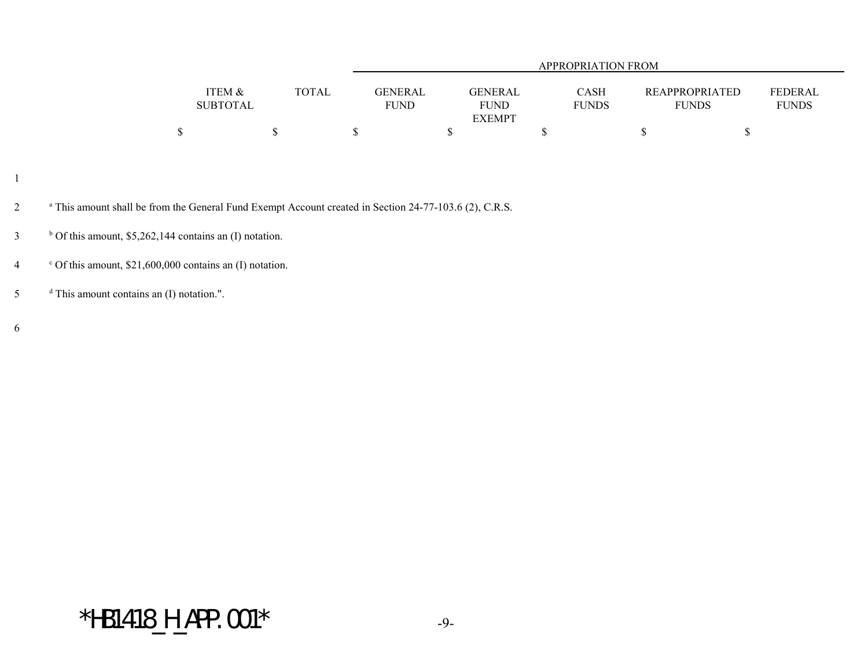|                 |              |                |                | APPROPRIATION FROM |                       |                |
|-----------------|--------------|----------------|----------------|--------------------|-----------------------|----------------|
|                 |              |                |                |                    |                       |                |
| ITEM &          | <b>TOTAL</b> | <b>GENERAL</b> | <b>GENERAL</b> | <b>CASH</b>        | <b>REAPPROPRIATED</b> | <b>FEDERAL</b> |
| <b>SUBTOTAL</b> |              | <b>FUND</b>    | <b>FUND</b>    | <b>FUNDS</b>       | <b>FUNDS</b>          | <b>FUNDS</b>   |
|                 |              |                | <b>EXEMPT</b>  |                    |                       |                |
|                 |              |                |                |                    |                       |                |

- 1
- <sup>a</sup> This amount shall be from the General Fund Exempt Account created in Section 24-77-103.6 (2), C.R.S.
- $\frac{b}{c}$  Of this amount, \$5,262,144 contains an (I) notation.
- 4  $\cdot$  Of this amount, \$21,600,000 contains an (I) notation.
- $\frac{d}{dt}$  This amount contains an (I) notation.".

6

#### $*H\text{B1418\_H}\text{APP}.001*$  -9-